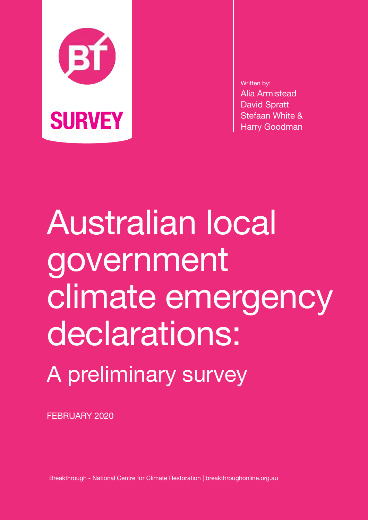

Written by: Alia Armistead David Spratt

Australian local government climate emergency declarations: A preliminary survey

FEBRUARY 2020

Breakthrough - National Centre for Climate Restoration | breakthroughonline.org.au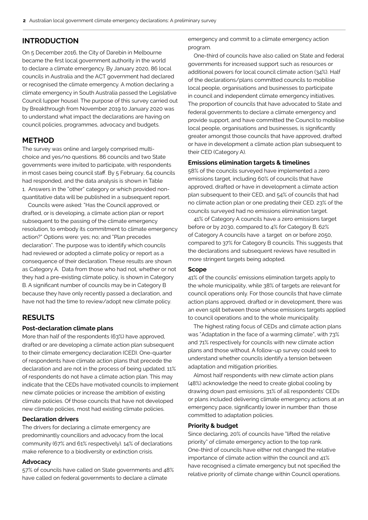# **INTRODUCTION**

On 5 December 2016, the City of Darebin in Melbourne became the first local government authority in the world to declare a climate emergency. By January 2020, 86 local councils in Australia and the ACT government had declared or recognised the climate emergency. A motion declaring a climate emergency in South Australia passed the Legislative Council (upper house). The purpose of this survey carried out by Breakthrough from November 2019 to January 2020 was to understand what impact the declarations are having on council policies, programmes, advocacy and budgets.

# **METHOD**

The survey was online and largely comprised multichoice and yes/no questions. 86 councils and two State governments were invited to participate, with respondents in most cases being council staff. By 5 February, 64 councils had responded, and the data analysis is shown in Table 1. Answers in the "other" category or which provided nonquantitative data will be published in a subsequent report.

 Councils were asked: "Has the Council approved, or drafted, or is developing, a climate action plan or report subsequent to the passing of the climate emergency resolution, to embody its commitment to climate emergency action?" Options were: yes; no; and "Plan precedes declaration". The purpose was to identify which councils had reviewed or adopted a climate policy or report as a consequence of their declaration. These results are shown as Category A. Data from those who had not, whether or not they had a pre-existing climate policy, is shown in Category B. A significant number of councils may be in Category B because they have only recently passed a declaration, and have not had the time to review/adopt new climate policy.

# **RESULTS**

## **Post-declaration climate plans**

More than half of the respondents (63%) have approved, drafted or are developing a climate action plan subsequent to their climate emergency declaration (CED). One-quarter of respondents have climate action plans that precede the declaration and are not in the process of being updated. 11% of respondents do not have a climate action plan. This may indicate that the CEDs have motivated councils to implement new climate policies or increase the ambition of existing climate policies. Of those councils that have not developed new climate policies, most had existing climate policies.

### **Declaration drivers**

The drivers for declaring a climate emergency are predominantly councillors and advocacy from the local community (67% and 61% respectively). 14% of declarations make reference to a biodiversity or extinction crisis.

## **Advocacy**

57% of councils have called on State governments and 48% have called on federal governments to declare a climate

emergency and commit to a climate emergency action program.

 One-third of councils have also called on State and federal governments for increased support such as resources or additional powers for local council climate action (34%). Half of the declarations/plans committed councils to mobilise local people, organisations and businesses to participate in council and independent climate emergency initiatives. The proportion of councils that have advocated to State and federal governments to declare a climate emergency and provide support, and have committed the Council to mobilise local people, organisations and businesses, is significantly greater amongst those councils that have approved, drafted or have in development a climate action plan subsequent to their CED (Category A).

#### **Emissions elimination targets & timelines**

58% of the councils surveyed have implemented a zero emissions target, including 60% of councils that have approved, drafted or have in development a climate action plan subsequent to their CED, and 54% of councils that had no climate action plan or one predating their CED. 23% of the councils surveyed had no emissions elimination target.

 41% of Category A councils have a zero emissions target before or by 2030, compared to 4% for Category B. 62% of Category A councils have a target on or before 2050, compared to 37% for Category B councils. This suggests that the declarations and subsequent reviews have resulted in more stringent targets being adopted.

### **Scope**

41% of the councils' emissions elimination targets apply to the whole municipality, while 38% of targets are relevant for council operations only. For those councils that have climate action plans approved, drafted or in development, there was an even split between those whose emissions targets applied to council operations and to the whole municipality.

 The highest rating focus of CEDs and climate action plans was "Adaptation in the face of a warming climate", with 73% and 71% respectively for councils with new climate action plans and those without. A follow-up survey could seek to understand whether councils identify a tension between adaptation and mitigation priorities.

 Almost half respondents with new climate action plans (48%) acknowledge the need to create global cooling by drawing down past emissions. 31% of all respondents' CEDs or plans included delivering climate emergency actions at an emergency pace, significantly lower in number than those committed to adaptation policies.

### **Priority & budget**

Since declaring, 20% of councils have "lifted the relative priority" of climate emergency action to the top rank. One-third of councils have either not changed the relative importance of climate action within the council and 41% have recognised a climate emergency but not specified the relative priority of climate change within Council operations.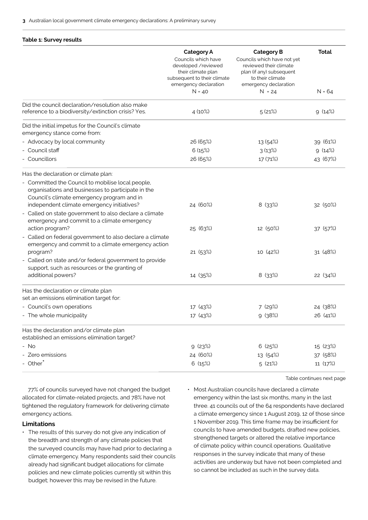#### **Table 1: Survey results**

|                                                                                                                                                                                               | <b>Category A</b><br>Councils which have<br>developed /reviewed<br>their climate plan<br>subsequent to their climate<br>emergency declaration<br>$N = 40$ | <b>Category B</b><br>Councils which have not yet<br>reviewed their climate<br>plan (if any) subsequent<br>to their climate<br>emergency declaration<br>$N = 24$ | <b>Total</b><br>$N = 64$ |
|-----------------------------------------------------------------------------------------------------------------------------------------------------------------------------------------------|-----------------------------------------------------------------------------------------------------------------------------------------------------------|-----------------------------------------------------------------------------------------------------------------------------------------------------------------|--------------------------|
|                                                                                                                                                                                               |                                                                                                                                                           |                                                                                                                                                                 |                          |
| Did the council declaration/resolution also make<br>reference to a biodiversity/extinction crisis? Yes.                                                                                       | 4 (10%)                                                                                                                                                   | 5(21%)                                                                                                                                                          | 9(14%)                   |
| Did the initial impetus for the Council's climate<br>emergency stance come from:                                                                                                              |                                                                                                                                                           |                                                                                                                                                                 |                          |
| - Advocacy by local community                                                                                                                                                                 | 26 (65%)                                                                                                                                                  | 13 (54%)                                                                                                                                                        | 39 (61%)                 |
| - Council staff                                                                                                                                                                               | 6(15%)                                                                                                                                                    | 3(13%)                                                                                                                                                          | 9(14%)                   |
| - Councillors                                                                                                                                                                                 | 26 (65%)                                                                                                                                                  | 17 (71%)                                                                                                                                                        | 43 (67%)                 |
| Has the declaration or climate plan:<br>- Committed the Council to mobilise local people,<br>organisations and businesses to participate in the<br>Council's climate emergency program and in |                                                                                                                                                           |                                                                                                                                                                 |                          |
| independent climate emergency initiatives?<br>- Called on state government to also declare a climate<br>emergency and commit to a climate emergency                                           | 24 (60%)                                                                                                                                                  | 8 (33%)                                                                                                                                                         | 32 (50%)                 |
| action program?<br>- Called on federal government to also declare a climate<br>emergency and commit to a climate emergency action                                                             | 25 (63%)                                                                                                                                                  | 12 (50%)                                                                                                                                                        | 37 (57%)                 |
| program?<br>- Called on state and/or federal government to provide<br>support, such as resources or the granting of                                                                           | 21 (53%)                                                                                                                                                  | 10 (42%)                                                                                                                                                        | 31 (48%)                 |
| additional powers?                                                                                                                                                                            | 14 (35%)                                                                                                                                                  | 8 (33%)                                                                                                                                                         | 22 (34%)                 |
| Has the declaration or climate plan<br>set an emissions elimination target for:                                                                                                               |                                                                                                                                                           |                                                                                                                                                                 |                          |
| - Council's own operations                                                                                                                                                                    | 17 (43%)                                                                                                                                                  | 7 (29%)                                                                                                                                                         | 24 (38%)                 |
| - The whole municipality                                                                                                                                                                      | 17 (43%)                                                                                                                                                  | 9(38%)                                                                                                                                                          | 26 (41%)                 |
| Has the declaration and/or climate plan<br>established an emissions elimination target?                                                                                                       |                                                                                                                                                           |                                                                                                                                                                 |                          |
| - No                                                                                                                                                                                          | 9(23%)                                                                                                                                                    | 6(25%)                                                                                                                                                          | 15 (23%)                 |
| - Zero emissions                                                                                                                                                                              | 24 (60%)                                                                                                                                                  | 13 (54%)                                                                                                                                                        | 37 (58%)                 |
| - Other <sup>*</sup>                                                                                                                                                                          | 6(15%)                                                                                                                                                    | 5(21%)                                                                                                                                                          | 11 (17%)                 |

 77% of councils surveyed have not changed the budget allocated for climate-related projects, and 78% have not tightened the regulatory framework for delivering climate emergency actions.

## **Limitations**

• The results of this survey do not give any indication of the breadth and strength of any climate policies that the surveyed councils may have had prior to declaring a climate emergency. Many respondents said their councils already had significant budget allocations for climate policies and new climate policies currently sit within this budget; however this may be revised in the future.

• Most Australian councils have declared a climate emergency within the last six months, many in the last three. 41 councils out of the 64 respondents have declared a climate emergency since 1 August 2019, 12 of those since 1 November 2019. This time frame may be insufficient for councils to have amended budgets, drafted new policies, strengthened targets or altered the relative importance of climate policy within council operations. Qualitative responses in the survey indicate that many of these activities are underway but have not been completed and so cannot be included as such in the survey data.

Table continues next page